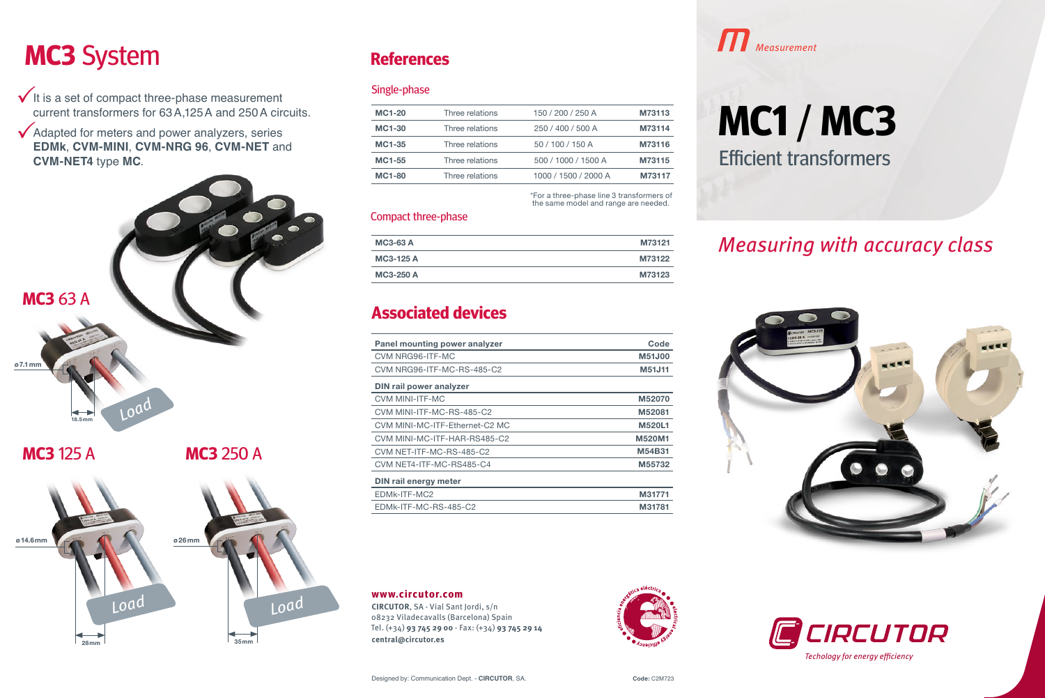## **MC3** System **References MC3** System

 $\checkmark$  It is a set of compact three-phase measurement current transformers for 63A,125A and 250A circuits.

Adapted for meters and power analyzers, series **EDMk**, **CVM-MINI**, **CVM-NRG 96**, **CVM-NET** and **CVM-NET4** type **MC**.



## **References**

#### Single-phase

| MC1-20        | Three relations | 150 / 200 / 250 A    | M73113 |
|---------------|-----------------|----------------------|--------|
| MC1-30        | Three relations | 250 / 400 / 500 A    | M73114 |
| MC1-35        | Three relations | 50 / 100 / 150 A     | M73116 |
| MC1-55        | Three relations | 500 / 1000 / 1500 A  | M73115 |
| <b>MC1-80</b> | Three relations | 1000 / 1500 / 2000 A | M73117 |
|               |                 |                      |        |

\*For a three-phase line 3 transformers of the same model and range are needed.

#### Compact three-phase

| <b>MC3-63 A</b> | M73121 |
|-----------------|--------|
| MC3-125 A       | M73122 |
| MC3-250 A       | M73123 |

### **Associated devices**

| Panel mounting power analyzer  | Code          |
|--------------------------------|---------------|
| CVM NRG96-ITF-MC               | M51J00        |
| CVM NRG96-ITF-MC-RS-485-C2     | M51J11        |
| DIN rail power analyzer        |               |
| <b>CVM MINI-ITF-MC</b>         | M52070        |
| CVM MINI-ITF-MC-RS-485-C2      | M52081        |
| CVM MINI-MC-ITF-Ethernet-C2 MC | <b>M520L1</b> |
| CVM MINI-MC-ITF-HAR-RS485-C2   | M520M1        |
| CVM NET-ITF-MC-RS-485-C2       | M54B31        |
| CVM NET4-ITF-MC-RS485-C4       | M55732        |
| DIN rail energy meter          |               |
| EDMK-ITF-MC2                   | M31771        |
| EDMk-ITF-MC-RS-485-C2          | M31781        |
|                                |               |

**www.circutor.com**

**CIRCUTOR**, SA - Vial Sant Jordi, s/n 08232 Viladecavalls (Barcelona) Spain Tel. (+34) **93 745 29 00** - Fax: (+34) **93 745 29 14 central@circutor.es**



# **MC1** / **MC3**

Efficient transformers

## Measuring with accuracy class